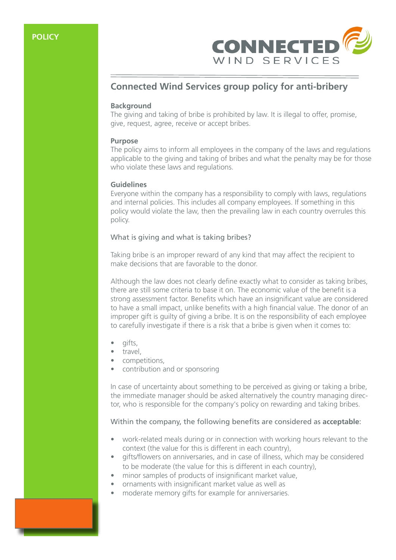

# **Connected Wind Services group policy for anti-bribery**

### **Background**

The giving and taking of bribe is prohibited by law. It is illegal to offer, promise, give, request, agree, receive or accept bribes.

### **Purpose**

The policy aims to inform all employees in the company of the laws and regulations applicable to the giving and taking of bribes and what the penalty may be for those who violate these laws and regulations.

#### **Guidelines**

Everyone within the company has a responsibility to comply with laws, regulations and internal policies. This includes all company employees. If something in this policy would violate the law, then the prevailing law in each country overrules this policy.

### What is giving and what is taking bribes?

Taking bribe is an improper reward of any kind that may affect the recipient to make decisions that are favorable to the donor.

Although the law does not clearly define exactly what to consider as taking bribes, there are still some criteria to base it on. The economic value of the benefit is a strong assessment factor. Benefits which have an insignificant value are considered to have a small impact, unlike benefits with a high financial value. The donor of an improper gift is guilty of giving a bribe. It is on the responsibility of each employee to carefully investigate if there is a risk that a bribe is given when it comes to:

- gifts,
- travel,
- competitions,
- contribution and or sponsoring

In case of uncertainty about something to be perceived as giving or taking a bribe, the immediate manager should be asked alternatively the country managing director, who is responsible for the company's policy on rewarding and taking bribes.

# Within the company, the following benefits are considered as **acceptable**:

- work-related meals during or in connection with working hours relevant to the context (the value for this is different in each country),
- gifts/flowers on anniversaries, and in case of illness, which may be considered to be moderate (the value for this is different in each country),
- minor samples of products of insignificant market value,
- ornaments with insignificant market value as well as
- moderate memory gifts for example for anniversaries.